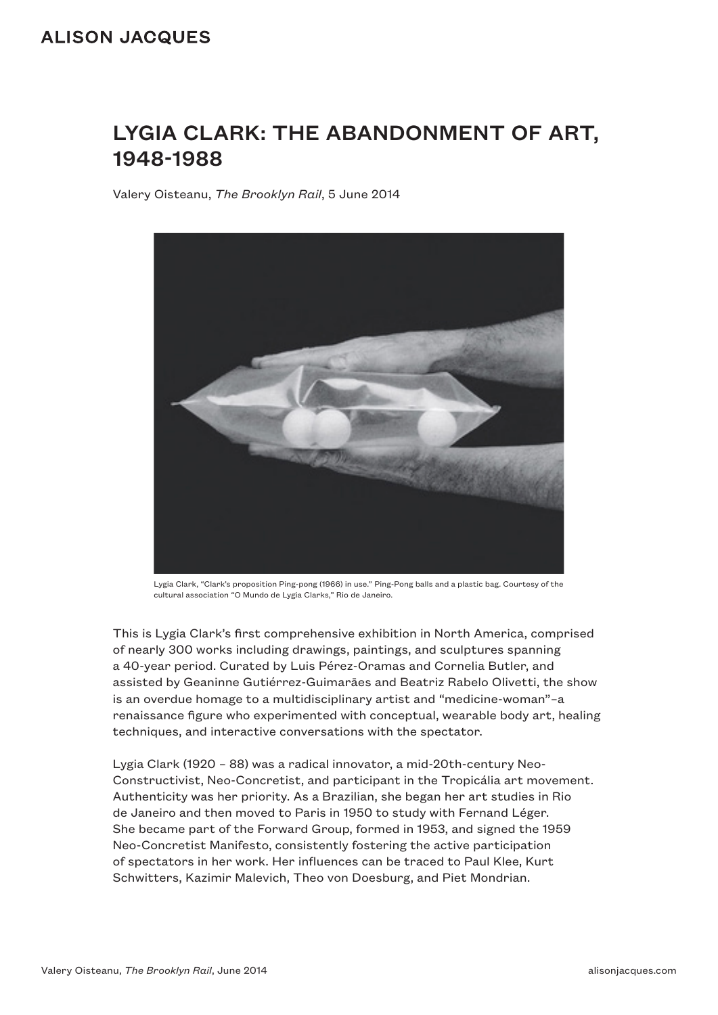# LYGIA CLARK: THE ABANDONMENT OF ART, 1948-1988

Valery Oisteanu, *The Brooklyn Rail*, 5 June 2014



Lygia Clark, "Clark's proposition Ping-pong (1966) in use." Ping-Pong balls and a plastic bag. Courtesy of the cultural association "O Mundo de Lygia Clarks," Rio de Janeiro.

This is Lygia Clark's first comprehensive exhibition in North America, comprised of nearly 300 works including drawings, paintings, and sculptures spanning a 40-year period. Curated by Luis Pérez-Oramas and Cornelia Butler, and assisted by Geaninne Gutiérrez-Guimarāes and Beatriz Rabelo Olivetti, the show is an overdue homage to a multidisciplinary artist and "medicine-woman"–a renaissance figure who experimented with conceptual, wearable body art, healing techniques, and interactive conversations with the spectator.

Lygia Clark (1920 – 88) was a radical innovator, a mid-20th-century Neo-Constructivist, Neo-Concretist, and participant in the Tropicália art movement. Authenticity was her priority. As a Brazilian, she began her art studies in Rio de Janeiro and then moved to Paris in 1950 to study with Fernand Léger. She became part of the Forward Group, formed in 1953, and signed the 1959 Neo-Concretist Manifesto, consistently fostering the active participation of spectators in her work. Her influences can be traced to Paul Klee, Kurt Schwitters, Kazimir Malevich, Theo von Doesburg, and Piet Mondrian.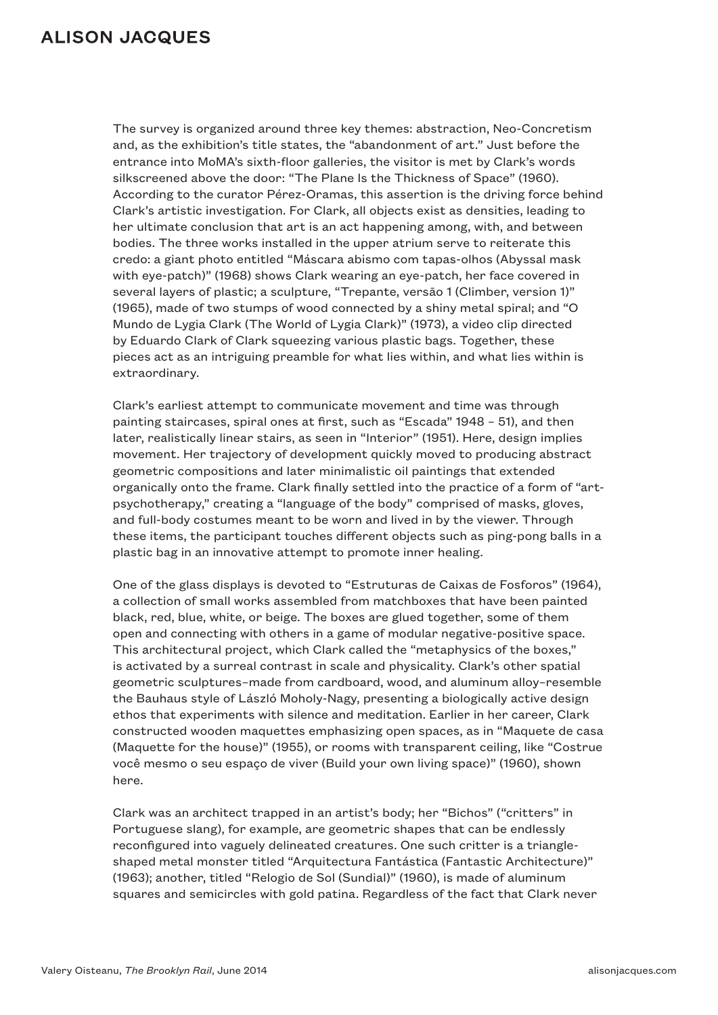The survey is organized around three key themes: abstraction, Neo-Concretism and, as the exhibition's title states, the "abandonment of art." Just before the entrance into MoMA's sixth-floor galleries, the visitor is met by Clark's words silkscreened above the door: "The Plane Is the Thickness of Space" (1960). According to the curator Pérez-Oramas, this assertion is the driving force behind Clark's artistic investigation. For Clark, all objects exist as densities, leading to her ultimate conclusion that art is an act happening among, with, and between bodies. The three works installed in the upper atrium serve to reiterate this credo: a giant photo entitled "Máscara abismo com tapas-olhos (Abyssal mask with eye-patch)" (1968) shows Clark wearing an eye-patch, her face covered in several layers of plastic; a sculpture, "Trepante, versāo 1 (Climber, version 1)" (1965), made of two stumps of wood connected by a shiny metal spiral; and "O Mundo de Lygia Clark (The World of Lygia Clark)" (1973), a video clip directed by Eduardo Clark of Clark squeezing various plastic bags. Together, these pieces act as an intriguing preamble for what lies within, and what lies within is extraordinary.

Clark's earliest attempt to communicate movement and time was through painting staircases, spiral ones at first, such as "Escada" 1948 – 51), and then later, realistically linear stairs, as seen in "Interior" (1951). Here, design implies movement. Her trajectory of development quickly moved to producing abstract geometric compositions and later minimalistic oil paintings that extended organically onto the frame. Clark finally settled into the practice of a form of "artpsychotherapy," creating a "language of the body" comprised of masks, gloves, and full-body costumes meant to be worn and lived in by the viewer. Through these items, the participant touches different objects such as ping-pong balls in a plastic bag in an innovative attempt to promote inner healing.

One of the glass displays is devoted to "Estruturas de Caixas de Fosforos" (1964), a collection of small works assembled from matchboxes that have been painted black, red, blue, white, or beige. The boxes are glued together, some of them open and connecting with others in a game of modular negative-positive space. This architectural project, which Clark called the "metaphysics of the boxes," is activated by a surreal contrast in scale and physicality. Clark's other spatial geometric sculptures–made from cardboard, wood, and aluminum alloy–resemble the Bauhaus style of László Moholy-Nagy, presenting a biologically active design ethos that experiments with silence and meditation. Earlier in her career, Clark constructed wooden maquettes emphasizing open spaces, as in "Maquete de casa (Maquette for the house)" (1955), or rooms with transparent ceiling, like "Costrue você mesmo o seu espaço de viver (Build your own living space)" (1960), shown here.

Clark was an architect trapped in an artist's body; her "Bichos" ("critters" in Portuguese slang), for example, are geometric shapes that can be endlessly reconfigured into vaguely delineated creatures. One such critter is a triangleshaped metal monster titled "Arquitectura Fantástica (Fantastic Architecture)" (1963); another, titled "Relogio de Sol (Sundial)" (1960), is made of aluminum squares and semicircles with gold patina. Regardless of the fact that Clark never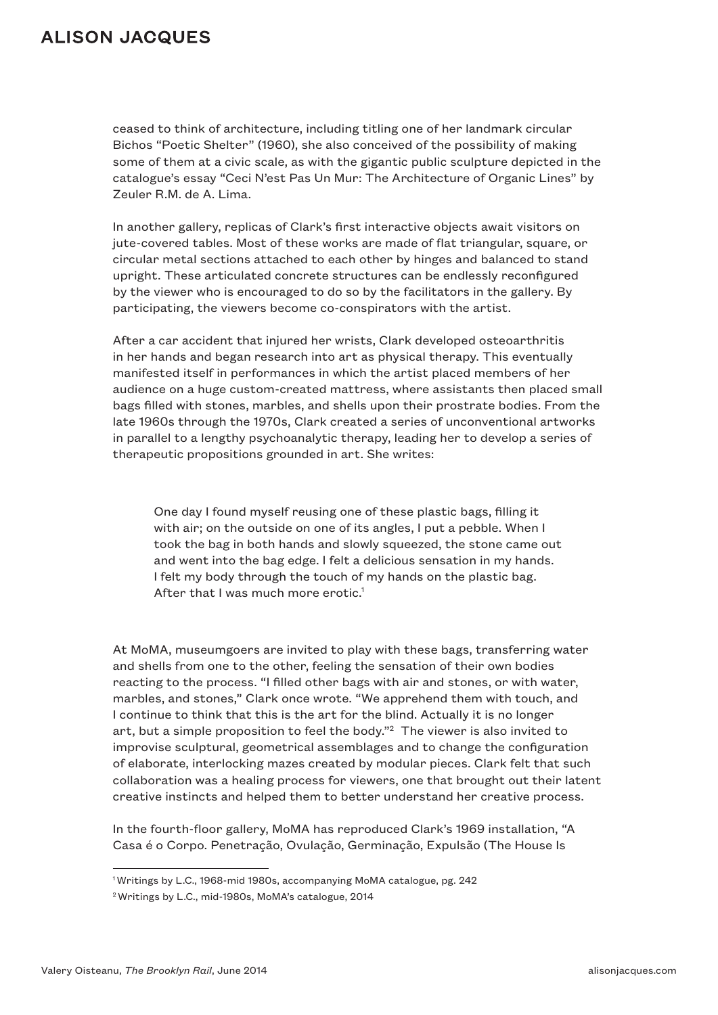ceased to think of architecture, including titling one of her landmark circular Bichos "Poetic Shelter" (1960), she also conceived of the possibility of making some of them at a civic scale, as with the gigantic public sculpture depicted in the catalogue's essay "Ceci N'est Pas Un Mur: The Architecture of Organic Lines" by Zeuler R.M. de A. Lima.

In another gallery, replicas of Clark's first interactive objects await visitors on jute-covered tables. Most of these works are made of flat triangular, square, or circular metal sections attached to each other by hinges and balanced to stand upright. These articulated concrete structures can be endlessly reconfigured by the viewer who is encouraged to do so by the facilitators in the gallery. By participating, the viewers become co-conspirators with the artist.

After a car accident that injured her wrists, Clark developed osteoarthritis in her hands and began research into art as physical therapy. This eventually manifested itself in performances in which the artist placed members of her audience on a huge custom-created mattress, where assistants then placed small bags filled with stones, marbles, and shells upon their prostrate bodies. From the late 1960s through the 1970s, Clark created a series of unconventional artworks in parallel to a lengthy psychoanalytic therapy, leading her to develop a series of therapeutic propositions grounded in art. She writes:

One day I found myself reusing one of these plastic bags, filling it with air; on the outside on one of its angles, I put a pebble. When I took the bag in both hands and slowly squeezed, the stone came out and went into the bag edge. I felt a delicious sensation in my hands. I felt my body through the touch of my hands on the plastic bag. After that I was much more erotic.<sup>1</sup>

At MoMA, museumgoers are invited to play with these bags, transferring water and shells from one to the other, feeling the sensation of their own bodies reacting to the process. "I filled other bags with air and stones, or with water, marbles, and stones," Clark once wrote. "We apprehend them with touch, and I continue to think that this is the art for the blind. Actually it is no longer art, but a simple proposition to feel the body."2 The viewer is also invited to improvise sculptural, geometrical assemblages and to change the configuration of elaborate, interlocking mazes created by modular pieces. Clark felt that such collaboration was a healing process for viewers, one that brought out their latent creative instincts and helped them to better understand her creative process.

In the fourth-floor gallery, MoMA has reproduced Clark's 1969 installation, "A Casa é o Corpo. Penetração, Ovulação, Germinação, Expulsão (The House Is

<sup>1</sup> Writings by L.C., 1968-mid 1980s, accompanying MoMA catalogue, pg. 242

<sup>2</sup> Writings by L.C., mid-1980s, MoMA's catalogue, 2014